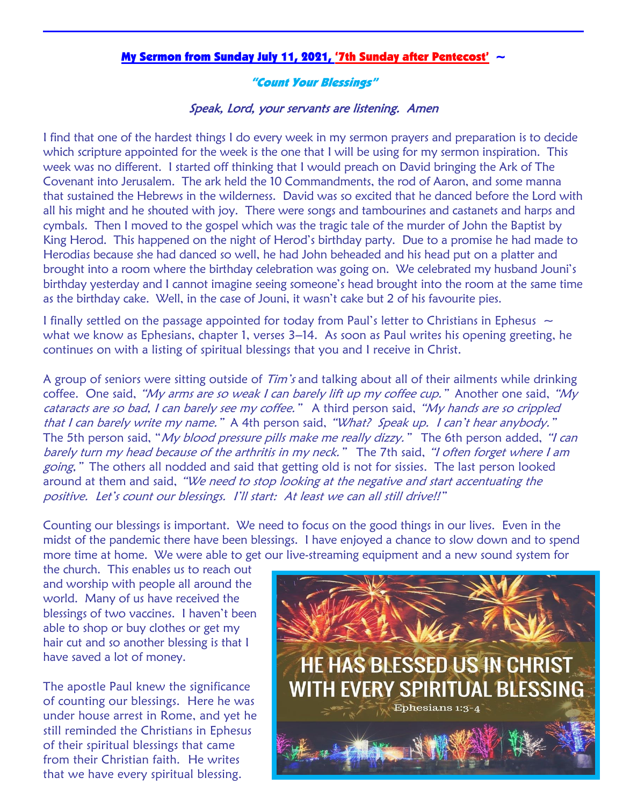## My Sermon from Sunday July 11, 2021, '7th Sunday after Pentecost'  $\sim$

## "Count Your Blessings"

## Speak, Lord, your servants are listening. Amen

I find that one of the hardest things I do every week in my sermon prayers and preparation is to decide which scripture appointed for the week is the one that I will be using for my sermon inspiration. This week was no different. I started off thinking that I would preach on David bringing the Ark of The Covenant into Jerusalem. The ark held the 10 Commandments, the rod of Aaron, and some manna that sustained the Hebrews in the wilderness. David was so excited that he danced before the Lord with all his might and he shouted with joy. There were songs and tambourines and castanets and harps and cymbals. Then I moved to the gospel which was the tragic tale of the murder of John the Baptist by King Herod. This happened on the night of Herod's birthday party. Due to a promise he had made to Herodias because she had danced so well, he had John beheaded and his head put on a platter and brought into a room where the birthday celebration was going on. We celebrated my husband Jouni's birthday yesterday and I cannot imagine seeing someone's head brought into the room at the same time as the birthday cake. Well, in the case of Jouni, it wasn't cake but 2 of his favourite pies. Ĭ

I finally settled on the passage appointed for today from Paul's letter to Christians in Ephesus  $\sim$ what we know as Ephesians, chapter 1, verses 3–14. As soon as Paul writes his opening greeting, he continues on with a listing of spiritual blessings that you and I receive in Christ.

A group of seniors were sitting outside of Tim's and talking about all of their ailments while drinking coffee. One said, "My arms are so weak I can barely lift up my coffee cup." Another one said, "My cataracts are so bad, I can barely see my coffee." A third person said, "My hands are so crippled that I can barely write my name." A 4th person said, "What? Speak up. I can't hear anybody." The 5th person said, "*My blood pressure pills make me really dizzy*." The 6th person added, "I can barely turn my head because of the arthritis in my neck." The 7th said, "I often forget where I am going," The others all nodded and said that getting old is not for sissies. The last person looked around at them and said, "We need to stop looking at the negative and start accentuating the positive. Let's count our blessings. I'll start: At least we can all still drive!!"

Counting our blessings is important. We need to focus on the good things in our lives. Even in the midst of the pandemic there have been blessings. I have enjoyed a chance to slow down and to spend more time at home. We were able to get our live-streaming equipment and a new sound system for

the church. This enables us to reach out and worship with people all around the world. Many of us have received the blessings of two vaccines. I haven't been able to shop or buy clothes or get my hair cut and so another blessing is that I have saved a lot of money.

The apostle Paul knew the significance of counting our blessings. Here he was under house arrest in Rome, and yet he still reminded the Christians in Ephesus of their spiritual blessings that came from their Christian faith. He writes that we have every spiritual blessing.

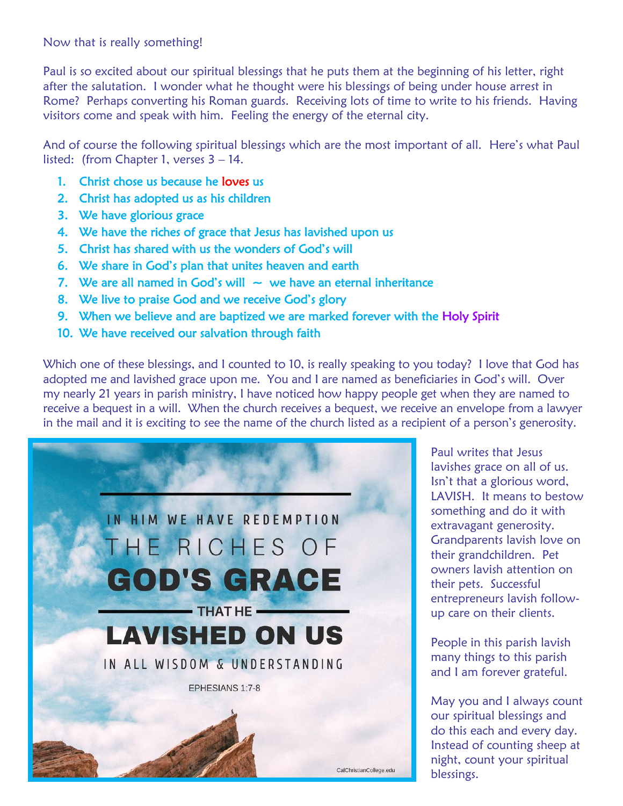## Now that is really something!

Paul is so excited about our spiritual blessings that he puts them at the beginning of his letter, right after the salutation. I wonder what he thought were his blessings of being under house arrest in Rome? Perhaps converting his Roman guards. Receiving lots of time to write to his friends. Having visitors come and speak with him. Feeling the energy of the eternal city.

And of course the following spiritual blessings which are the most important of all. Here's what Paul listed: (from Chapter 1, verses 3 – 14.

- 1. Christ chose us because he loves us
- 2. Christ has adopted us as his children
- 3. We have glorious grace
- 4. We have the riches of grace that Jesus has lavished upon us
- 5. Christ has shared with us the wonders of God's will
- 6. We share in God's plan that unites heaven and earth
- 7. We are all named in God's will  $\sim$  we have an eternal inheritance
- 8. We live to praise God and we receive God's glory
- 9. When we believe and are baptized we are marked forever with the Holy Spirit
- 10. We have received our salvation through faith

Which one of these blessings, and I counted to 10, is really speaking to you today? I love that God has adopted me and lavished grace upon me. You and I are named as beneficiaries in God's will. Over my nearly 21 years in parish ministry, I have noticed how happy people get when they are named to receive a bequest in a will. When the church receives a bequest, we receive an envelope from a lawyer in the mail and it is exciting to see the name of the church listed as a recipient of a person's generosity.



Paul writes that Jesus lavishes grace on all of us. Isn't that a glorious word, LAVISH. It means to bestow something and do it with extravagant generosity. Grandparents lavish love on their grandchildren. Pet owners lavish attention on their pets. Successful entrepreneurs lavish followup care on their clients.

People in this parish lavish many things to this parish and I am forever grateful.

May you and I always count our spiritual blessings and do this each and every day. Instead of counting sheep at night, count your spiritual blessings.